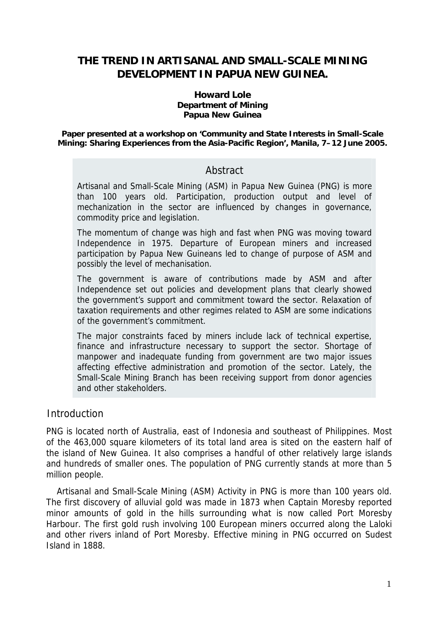# **THE TREND IN ARTISANAL AND SMALL-SCALE MINING DEVELOPMENT IN PAPUA NEW GUINEA.**

#### **Howard Lole Department of Mining Papua New Guinea**

**Paper presented at a workshop on 'Community and State Interests in Small-Scale Mining: Sharing Experiences from the Asia-Pacific Region', Manila, 7–12 June 2005.** 

## Abstract

Artisanal and Small-Scale Mining (ASM) in Papua New Guinea (PNG) is more than 100 years old. Participation, production output and level of mechanization in the sector are influenced by changes in governance, commodity price and legislation.

The momentum of change was high and fast when PNG was moving toward Independence in 1975. Departure of European miners and increased participation by Papua New Guineans led to change of purpose of ASM and possibly the level of mechanisation.

The government is aware of contributions made by ASM and after Independence set out policies and development plans that clearly showed the government's support and commitment toward the sector. Relaxation of taxation requirements and other regimes related to ASM are some indications of the government's commitment.

The major constraints faced by miners include lack of technical expertise, finance and infrastructure necessary to support the sector. Shortage of manpower and inadequate funding from government are two major issues affecting effective administration and promotion of the sector. Lately, the Small-Scale Mining Branch has been receiving support from donor agencies and other stakeholders.

## Introduction

PNG is located north of Australia, east of Indonesia and southeast of Philippines. Most of the 463,000 square kilometers of its total land area is sited on the eastern half of the island of New Guinea. It also comprises a handful of other relatively large islands and hundreds of smaller ones. The population of PNG currently stands at more than 5 million people.

Artisanal and Small-Scale Mining (ASM) Activity in PNG is more than 100 years old. The first discovery of alluvial gold was made in 1873 when Captain Moresby reported minor amounts of gold in the hills surrounding what is now called Port Moresby Harbour. The first gold rush involving 100 European miners occurred along the Laloki and other rivers inland of Port Moresby. Effective mining in PNG occurred on Sudest Island in 1888.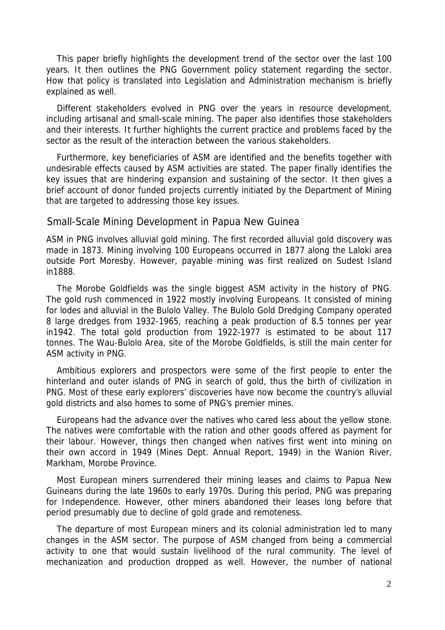This paper briefly highlights the development trend of the sector over the last 100 years. It then outlines the PNG Government policy statement regarding the sector. How that policy is translated into Legislation and Administration mechanism is briefly explained as well.

Different stakeholders evolved in PNG over the years in resource development, including artisanal and small-scale mining. The paper also identifies those stakeholders and their interests. It further highlights the current practice and problems faced by the sector as the result of the interaction between the various stakeholders.

Furthermore, key beneficiaries of ASM are identified and the benefits together with undesirable effects caused by ASM activities are stated. The paper finally identifies the key issues that are hindering expansion and sustaining of the sector. It then gives a brief account of donor funded projects currently initiated by the Department of Mining that are targeted to addressing those key issues.

### Small-Scale Mining Development in Papua New Guinea

ASM in PNG involves alluvial gold mining. The first recorded alluvial gold discovery was made in 1873. Mining involving 100 Europeans occurred in 1877 along the Laloki area outside Port Moresby. However, payable mining was first realized on Sudest Island in1888.

The Morobe Goldfields was the single biggest ASM activity in the history of PNG. The gold rush commenced in 1922 mostly involving Europeans. It consisted of mining for lodes and alluvial in the Bulolo Valley. The Bulolo Gold Dredging Company operated 8 large dredges from 1932-1965, reaching a peak production of 8.5 tonnes per year in1942. The total gold production from 1922-1977 is estimated to be about 117 tonnes. The Wau-Bulolo Area, site of the Morobe Goldfields, is still the main center for ASM activity in PNG.

Ambitious explorers and prospectors were some of the first people to enter the hinterland and outer islands of PNG in search of gold, thus the birth of civilization in PNG. Most of these early explorers' discoveries have now become the country's alluvial gold districts and also homes to some of PNG's premier mines.

Europeans had the advance over the natives who cared less about the yellow stone. The natives were comfortable with the ration and other goods offered as payment for their labour. However, things then changed when natives first went into mining on their own accord in 1949 (Mines Dept. Annual Report, 1949) in the Wanion River, Markham, Morobe Province.

Most European miners surrendered their mining leases and claims to Papua New Guineans during the late 1960s to early 1970s. During this period, PNG was preparing for Independence. However, other miners abandoned their leases long before that period presumably due to decline of gold grade and remoteness.

The departure of most European miners and its colonial administration led to many changes in the ASM sector. The purpose of ASM changed from being a commercial activity to one that would sustain livelihood of the rural community. The level of mechanization and production dropped as well. However, the number of national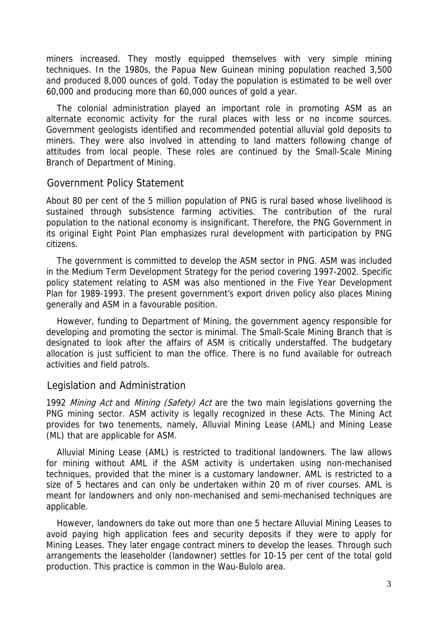miners increased. They mostly equipped themselves with very simple mining techniques. In the 1980s, the Papua New Guinean mining population reached 3,500 and produced 8,000 ounces of gold. Today the population is estimated to be well over 60,000 and producing more than 60,000 ounces of gold a year.

The colonial administration played an important role in promoting ASM as an alternate economic activity for the rural places with less or no income sources. Government geologists identified and recommended potential alluvial gold deposits to miners. They were also involved in attending to land matters following change of attitudes from local people. These roles are continued by the Small-Scale Mining Branch of Department of Mining.

#### Government Policy Statement

About 80 per cent of the 5 million population of PNG is rural based whose livelihood is sustained through subsistence farming activities. The contribution of the rural population to the national economy is insignificant. Therefore, the PNG Government in its original Eight Point Plan emphasizes rural development with participation by PNG citizens.

The government is committed to develop the ASM sector in PNG. ASM was included in the Medium Term Development Strategy for the period covering 1997-2002. Specific policy statement relating to ASM was also mentioned in the Five Year Development Plan for 1989-1993. The present government's export driven policy also places Mining generally and ASM in a favourable position.

However, funding to Department of Mining, the government agency responsible for developing and promoting the sector is minimal. The Small-Scale Mining Branch that is designated to look after the affairs of ASM is critically understaffed. The budgetary allocation is just sufficient to man the office. There is no fund available for outreach activities and field patrols.

### Legislation and Administration

1992 Mining Act and Mining (Safety) Act are the two main legislations governing the PNG mining sector. ASM activity is legally recognized in these Acts. The Mining Act provides for two tenements, namely, Alluvial Mining Lease (AML) and Mining Lease (ML) that are applicable for ASM.

Alluvial Mining Lease (AML) is restricted to traditional landowners. The law allows for mining without AML if the ASM activity is undertaken using non-mechanised techniques, provided that the miner is a customary landowner. AML is restricted to a size of 5 hectares and can only be undertaken within 20 m of river courses. AML is meant for landowners and only non-mechanised and semi-mechanised techniques are applicable.

However, landowners do take out more than one 5 hectare Alluvial Mining Leases to avoid paying high application fees and security deposits if they were to apply for Mining Leases. They later engage contract miners to develop the leases. Through such arrangements the leaseholder (landowner) settles for 10-15 per cent of the total gold production. This practice is common in the Wau-Bulolo area.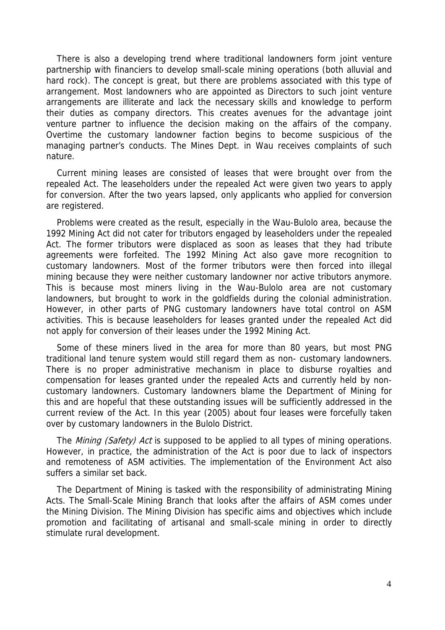There is also a developing trend where traditional landowners form joint venture partnership with financiers to develop small-scale mining operations (both alluvial and hard rock). The concept is great, but there are problems associated with this type of arrangement. Most landowners who are appointed as Directors to such joint venture arrangements are illiterate and lack the necessary skills and knowledge to perform their duties as company directors. This creates avenues for the advantage joint venture partner to influence the decision making on the affairs of the company. Overtime the customary landowner faction begins to become suspicious of the managing partner's conducts. The Mines Dept. in Wau receives complaints of such nature.

Current mining leases are consisted of leases that were brought over from the repealed Act. The leaseholders under the repealed Act were given two years to apply for conversion. After the two years lapsed, only applicants who applied for conversion are registered.

Problems were created as the result, especially in the Wau-Bulolo area, because the 1992 Mining Act did not cater for tributors engaged by leaseholders under the repealed Act. The former tributors were displaced as soon as leases that they had tribute agreements were forfeited. The 1992 Mining Act also gave more recognition to customary landowners. Most of the former tributors were then forced into illegal mining because they were neither customary landowner nor active tributors anymore. This is because most miners living in the Wau-Bulolo area are not customary landowners, but brought to work in the goldfields during the colonial administration. However, in other parts of PNG customary landowners have total control on ASM activities. This is because leaseholders for leases granted under the repealed Act did not apply for conversion of their leases under the 1992 Mining Act.

Some of these miners lived in the area for more than 80 years, but most PNG traditional land tenure system would still regard them as non- customary landowners. There is no proper administrative mechanism in place to disburse royalties and compensation for leases granted under the repealed Acts and currently held by noncustomary landowners. Customary landowners blame the Department of Mining for this and are hopeful that these outstanding issues will be sufficiently addressed in the current review of the Act. In this year (2005) about four leases were forcefully taken over by customary landowners in the Bulolo District.

The *Mining (Safety) Act* is supposed to be applied to all types of mining operations. However, in practice, the administration of the Act is poor due to lack of inspectors and remoteness of ASM activities. The implementation of the Environment Act also suffers a similar set back.

The Department of Mining is tasked with the responsibility of administrating Mining Acts. The Small-Scale Mining Branch that looks after the affairs of ASM comes under the Mining Division. The Mining Division has specific aims and objectives which include promotion and facilitating of artisanal and small-scale mining in order to directly stimulate rural development.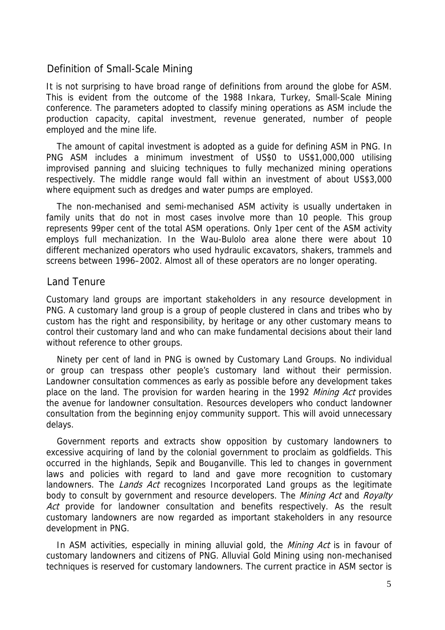## Definition of Small-Scale Mining

It is not surprising to have broad range of definitions from around the globe for ASM. This is evident from the outcome of the 1988 Inkara, Turkey, Small-Scale Mining conference. The parameters adopted to classify mining operations as ASM include the production capacity, capital investment, revenue generated, number of people employed and the mine life.

The amount of capital investment is adopted as a guide for defining ASM in PNG. In PNG ASM includes a minimum investment of US\$0 to US\$1,000,000 utilising improvised panning and sluicing techniques to fully mechanized mining operations respectively. The middle range would fall within an investment of about US\$3,000 where equipment such as dredges and water pumps are employed.

The non-mechanised and semi-mechanised ASM activity is usually undertaken in family units that do not in most cases involve more than 10 people. This group represents 99per cent of the total ASM operations. Only 1per cent of the ASM activity employs full mechanization. In the Wau-Bulolo area alone there were about 10 different mechanized operators who used hydraulic excavators, shakers, trammels and screens between 1996–2002. Almost all of these operators are no longer operating.

### Land Tenure

Customary land groups are important stakeholders in any resource development in PNG. A customary land group is a group of people clustered in clans and tribes who by custom has the right and responsibility, by heritage or any other customary means to control their customary land and who can make fundamental decisions about their land without reference to other groups.

Ninety per cent of land in PNG is owned by Customary Land Groups. No individual or group can trespass other people's customary land without their permission. Landowner consultation commences as early as possible before any development takes place on the land. The provision for warden hearing in the 1992 *Mining Act* provides the avenue for landowner consultation. Resources developers who conduct landowner consultation from the beginning enjoy community support. This will avoid unnecessary delays.

Government reports and extracts show opposition by customary landowners to excessive acquiring of land by the colonial government to proclaim as goldfields. This occurred in the highlands, Sepik and Bouganville. This led to changes in government laws and policies with regard to land and gave more recognition to customary landowners. The *Lands Act* recognizes Incorporated Land groups as the legitimate body to consult by government and resource developers. The Mining Act and Royalty Act provide for landowner consultation and benefits respectively. As the result customary landowners are now regarded as important stakeholders in any resource development in PNG.

In ASM activities, especially in mining alluvial gold, the *Mining Act* is in favour of customary landowners and citizens of PNG. Alluvial Gold Mining using non-mechanised techniques is reserved for customary landowners. The current practice in ASM sector is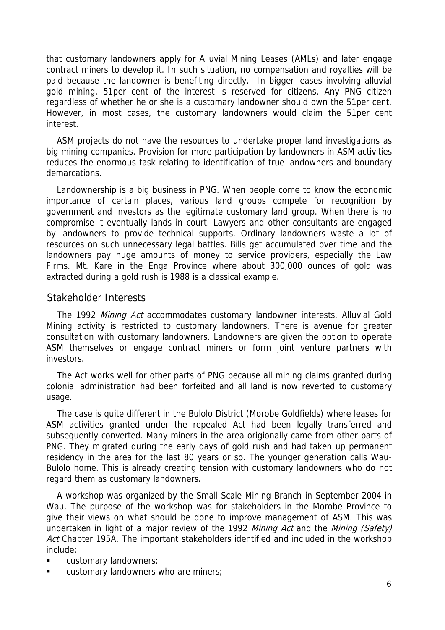that customary landowners apply for Alluvial Mining Leases (AMLs) and later engage contract miners to develop it. In such situation, no compensation and royalties will be paid because the landowner is benefiting directly. In bigger leases involving alluvial gold mining, 51per cent of the interest is reserved for citizens. Any PNG citizen regardless of whether he or she is a customary landowner should own the 51per cent. However, in most cases, the customary landowners would claim the 51per cent interest.

ASM projects do not have the resources to undertake proper land investigations as big mining companies. Provision for more participation by landowners in ASM activities reduces the enormous task relating to identification of true landowners and boundary demarcations.

Landownership is a big business in PNG. When people come to know the economic importance of certain places, various land groups compete for recognition by government and investors as the legitimate customary land group. When there is no compromise it eventually lands in court. Lawyers and other consultants are engaged by landowners to provide technical supports. Ordinary landowners waste a lot of resources on such unnecessary legal battles. Bills get accumulated over time and the landowners pay huge amounts of money to service providers, especially the Law Firms. Mt. Kare in the Enga Province where about 300,000 ounces of gold was extracted during a gold rush is 1988 is a classical example.

### Stakeholder Interests

The 1992 Mining Act accommodates customary landowner interests. Alluvial Gold Mining activity is restricted to customary landowners. There is avenue for greater consultation with customary landowners. Landowners are given the option to operate ASM themselves or engage contract miners or form joint venture partners with investors.

The Act works well for other parts of PNG because all mining claims granted during colonial administration had been forfeited and all land is now reverted to customary usage.

The case is quite different in the Bulolo District (Morobe Goldfields) where leases for ASM activities granted under the repealed Act had been legally transferred and subsequently converted. Many miners in the area origionally came from other parts of PNG. They migrated during the early days of gold rush and had taken up permanent residency in the area for the last 80 years or so. The younger generation calls Wau-Bulolo home. This is already creating tension with customary landowners who do not regard them as customary landowners.

A workshop was organized by the Small-Scale Mining Branch in September 2004 in Wau. The purpose of the workshop was for stakeholders in the Morobe Province to give their views on what should be done to improve management of ASM. This was undertaken in light of a major review of the 1992 Mining Act and the Mining (Safety) Act Chapter 195A. The important stakeholders identified and included in the workshop include:

- **u** customary landowners;
- customary landowners who are miners;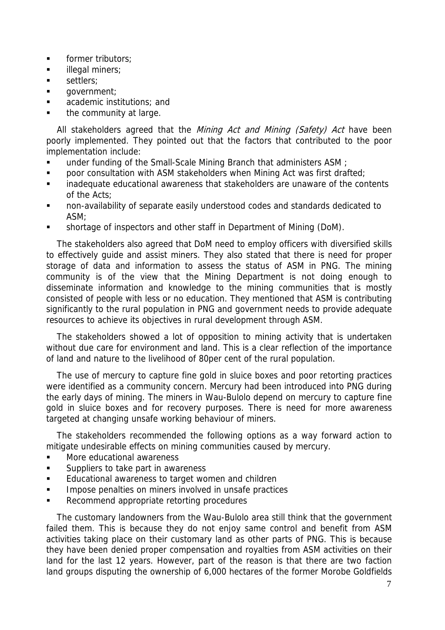- **former tributors;**
- **illegal miners;**
- settlers:
- **qovernment**;
- **academic institutions; and**
- **the community at large.**

All stakeholders agreed that the Mining Act and Mining (Safety) Act have been poorly implemented. They pointed out that the factors that contributed to the poor implementation include:

- under funding of the Small-Scale Mining Branch that administers ASM ;
- **•** poor consultation with ASM stakeholders when Mining Act was first drafted;
- **EXECT** inadequate educational awareness that stakeholders are unaware of the contents of the Acts;
- non-availability of separate easily understood codes and standards dedicated to ASM;
- shortage of inspectors and other staff in Department of Mining (DoM).

The stakeholders also agreed that DoM need to employ officers with diversified skills to effectively guide and assist miners. They also stated that there is need for proper storage of data and information to assess the status of ASM in PNG. The mining community is of the view that the Mining Department is not doing enough to disseminate information and knowledge to the mining communities that is mostly consisted of people with less or no education. They mentioned that ASM is contributing significantly to the rural population in PNG and government needs to provide adequate resources to achieve its objectives in rural development through ASM.

The stakeholders showed a lot of opposition to mining activity that is undertaken without due care for environment and land. This is a clear reflection of the importance of land and nature to the livelihood of 80per cent of the rural population.

The use of mercury to capture fine gold in sluice boxes and poor retorting practices were identified as a community concern. Mercury had been introduced into PNG during the early days of mining. The miners in Wau-Bulolo depend on mercury to capture fine gold in sluice boxes and for recovery purposes. There is need for more awareness targeted at changing unsafe working behaviour of miners.

The stakeholders recommended the following options as a way forward action to mitigate undesirable effects on mining communities caused by mercury.

- More educational awareness
- Suppliers to take part in awareness
- **Educational awareness to target women and children**
- **IMPOSE penalties on miners involved in unsafe practices**
- Recommend appropriate retorting procedures

The customary landowners from the Wau-Bulolo area still think that the government failed them. This is because they do not enjoy same control and benefit from ASM activities taking place on their customary land as other parts of PNG. This is because they have been denied proper compensation and royalties from ASM activities on their land for the last 12 years. However, part of the reason is that there are two faction land groups disputing the ownership of 6,000 hectares of the former Morobe Goldfields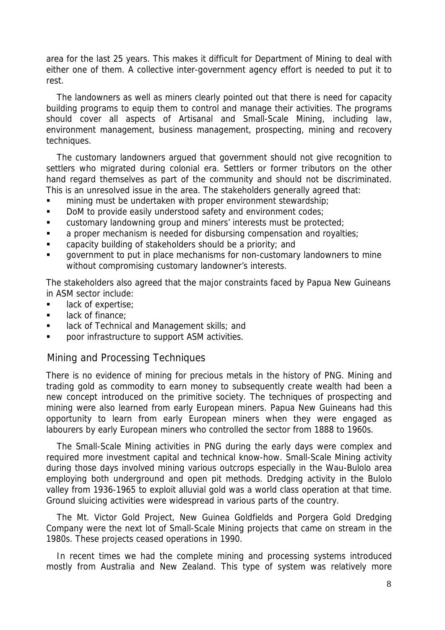area for the last 25 years. This makes it difficult for Department of Mining to deal with either one of them. A collective inter-government agency effort is needed to put it to rest.

The landowners as well as miners clearly pointed out that there is need for capacity building programs to equip them to control and manage their activities. The programs should cover all aspects of Artisanal and Small-Scale Mining, including law, environment management, business management, prospecting, mining and recovery techniques.

The customary landowners argued that government should not give recognition to settlers who migrated during colonial era. Settlers or former tributors on the other hand regard themselves as part of the community and should not be discriminated. This is an unresolved issue in the area. The stakeholders generally agreed that:

- **numining must be undertaken with proper environment stewardship;**
- DoM to provide easily understood safety and environment codes;
- **EXECUSTOMARY CUSTOMARY INCOUNTED And STATE INCOURTED CUSTOMARY CUSTOMARY INCOURTED**
- **a** proper mechanism is needed for disbursing compensation and royalties;
- capacity building of stakeholders should be a priority; and
- government to put in place mechanisms for non-customary landowners to mine without compromising customary landowner's interests.

The stakeholders also agreed that the major constraints faced by Papua New Guineans in ASM sector include:

- **lack of expertise;**
- **If** lack of finance;
- **Example 2** lack of Technical and Management skills; and
- **PEDOCE INTERS INCOCOCOCOLEY 15 INCREDU** poor infrastructure to support ASM activities.

## Mining and Processing Techniques

There is no evidence of mining for precious metals in the history of PNG. Mining and trading gold as commodity to earn money to subsequently create wealth had been a new concept introduced on the primitive society. The techniques of prospecting and mining were also learned from early European miners. Papua New Guineans had this opportunity to learn from early European miners when they were engaged as labourers by early European miners who controlled the sector from 1888 to 1960s.

The Small-Scale Mining activities in PNG during the early days were complex and required more investment capital and technical know-how. Small-Scale Mining activity during those days involved mining various outcrops especially in the Wau-Bulolo area employing both underground and open pit methods. Dredging activity in the Bulolo valley from 1936-1965 to exploit alluvial gold was a world class operation at that time. Ground sluicing activities were widespread in various parts of the country.

The Mt. Victor Gold Project, New Guinea Goldfields and Porgera Gold Dredging Company were the next lot of Small-Scale Mining projects that came on stream in the 1980s. These projects ceased operations in 1990.

In recent times we had the complete mining and processing systems introduced mostly from Australia and New Zealand. This type of system was relatively more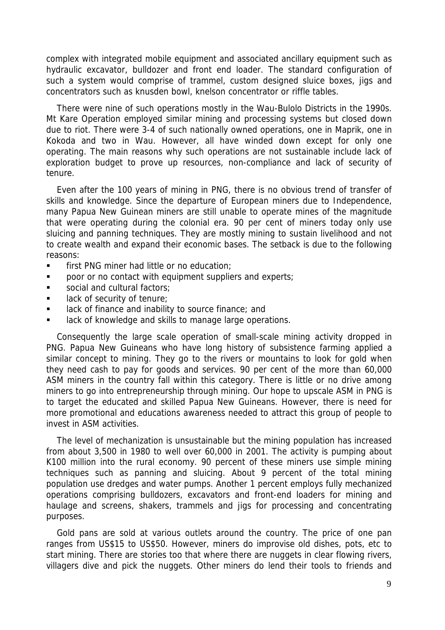complex with integrated mobile equipment and associated ancillary equipment such as hydraulic excavator, bulldozer and front end loader. The standard configuration of such a system would comprise of trammel, custom designed sluice boxes, jigs and concentrators such as knusden bowl, knelson concentrator or riffle tables.

There were nine of such operations mostly in the Wau-Bulolo Districts in the 1990s. Mt Kare Operation employed similar mining and processing systems but closed down due to riot. There were 3-4 of such nationally owned operations, one in Maprik, one in Kokoda and two in Wau. However, all have winded down except for only one operating. The main reasons why such operations are not sustainable include lack of exploration budget to prove up resources, non-compliance and lack of security of tenure.

Even after the 100 years of mining in PNG, there is no obvious trend of transfer of skills and knowledge. Since the departure of European miners due to Independence, many Papua New Guinean miners are still unable to operate mines of the magnitude that were operating during the colonial era. 90 per cent of miners today only use sluicing and panning techniques. They are mostly mining to sustain livelihood and not to create wealth and expand their economic bases. The setback is due to the following reasons:

- **first PNG miner had little or no education;**
- **poor or no contact with equipment suppliers and experts;**
- social and cultural factors;
- **If** lack of security of tenure;
- **If** lack of finance and inability to source finance; and
- lack of knowledge and skills to manage large operations.

Consequently the large scale operation of small-scale mining activity dropped in PNG. Papua New Guineans who have long history of subsistence farming applied a similar concept to mining. They go to the rivers or mountains to look for gold when they need cash to pay for goods and services. 90 per cent of the more than 60,000 ASM miners in the country fall within this category. There is little or no drive among miners to go into entrepreneurship through mining. Our hope to upscale ASM in PNG is to target the educated and skilled Papua New Guineans. However, there is need for more promotional and educations awareness needed to attract this group of people to invest in ASM activities.

The level of mechanization is unsustainable but the mining population has increased from about 3,500 in 1980 to well over 60,000 in 2001. The activity is pumping about K100 million into the rural economy. 90 percent of these miners use simple mining techniques such as panning and sluicing. About 9 percent of the total mining population use dredges and water pumps. Another 1 percent employs fully mechanized operations comprising bulldozers, excavators and front-end loaders for mining and haulage and screens, shakers, trammels and jigs for processing and concentrating purposes.

Gold pans are sold at various outlets around the country. The price of one pan ranges from US\$15 to US\$50. However, miners do improvise old dishes, pots, etc to start mining. There are stories too that where there are nuggets in clear flowing rivers, villagers dive and pick the nuggets. Other miners do lend their tools to friends and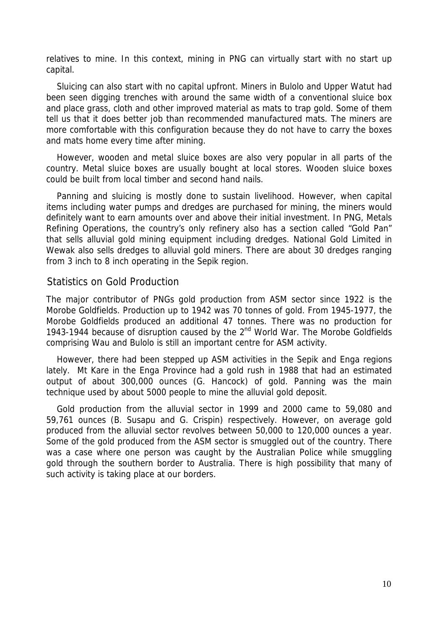relatives to mine. In this context, mining in PNG can virtually start with no start up capital.

Sluicing can also start with no capital upfront. Miners in Bulolo and Upper Watut had been seen digging trenches with around the same width of a conventional sluice box and place grass, cloth and other improved material as mats to trap gold. Some of them tell us that it does better job than recommended manufactured mats. The miners are more comfortable with this configuration because they do not have to carry the boxes and mats home every time after mining.

However, wooden and metal sluice boxes are also very popular in all parts of the country. Metal sluice boxes are usually bought at local stores. Wooden sluice boxes could be built from local timber and second hand nails.

Panning and sluicing is mostly done to sustain livelihood. However, when capital items including water pumps and dredges are purchased for mining, the miners would definitely want to earn amounts over and above their initial investment. In PNG, Metals Refining Operations, the country's only refinery also has a section called "Gold Pan" that sells alluvial gold mining equipment including dredges. National Gold Limited in Wewak also sells dredges to alluvial gold miners. There are about 30 dredges ranging from 3 inch to 8 inch operating in the Sepik region.

## Statistics on Gold Production

The major contributor of PNGs gold production from ASM sector since 1922 is the Morobe Goldfields. Production up to 1942 was 70 tonnes of gold. From 1945-1977, the Morobe Goldfields produced an additional 47 tonnes. There was no production for 1943-1944 because of disruption caused by the 2nd World War. The Morobe Goldfields comprising Wau and Bulolo is still an important centre for ASM activity.

However, there had been stepped up ASM activities in the Sepik and Enga regions lately. Mt Kare in the Enga Province had a gold rush in 1988 that had an estimated output of about 300,000 ounces (G. Hancock) of gold. Panning was the main technique used by about 5000 people to mine the alluvial gold deposit.

Gold production from the alluvial sector in 1999 and 2000 came to 59,080 and 59,761 ounces (B. Susapu and G. Crispin) respectively. However, on average gold produced from the alluvial sector revolves between 50,000 to 120,000 ounces a year. Some of the gold produced from the ASM sector is smuggled out of the country. There was a case where one person was caught by the Australian Police while smuggling gold through the southern border to Australia. There is high possibility that many of such activity is taking place at our borders.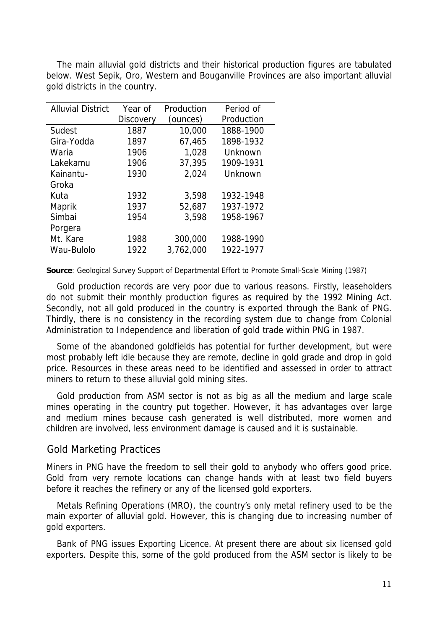The main alluvial gold districts and their historical production figures are tabulated below. West Sepik, Oro, Western and Bouganville Provinces are also important alluvial gold districts in the country.

| <b>Alluvial District</b> | Year of          | Production | Period of  |
|--------------------------|------------------|------------|------------|
|                          | <b>Discovery</b> | (ounces)   | Production |
| Sudest                   | 1887             | 10,000     | 1888-1900  |
| Gira-Yodda               | 1897             | 67,465     | 1898-1932  |
| Waria                    | 1906             | 1,028      | Unknown    |
| Lakekamu                 | 1906             | 37,395     | 1909-1931  |
| Kainantu-                | 1930             | 2,024      | Unknown    |
| Groka                    |                  |            |            |
| Kuta                     | 1932             | 3,598      | 1932-1948  |
| Maprik                   | 1937             | 52,687     | 1937-1972  |
| Simbai                   | 1954             | 3,598      | 1958-1967  |
| Porgera                  |                  |            |            |
| Mt. Kare                 | 1988             | 300,000    | 1988-1990  |
| Wau-Bulolo               | 1922             | 3,762,000  | 1922-1977  |

**Source**: Geological Survey Support of Departmental Effort to Promote Small-Scale Mining (1987)

Gold production records are very poor due to various reasons. Firstly, leaseholders do not submit their monthly production figures as required by the 1992 Mining Act. Secondly, not all gold produced in the country is exported through the Bank of PNG. Thirdly, there is no consistency in the recording system due to change from Colonial Administration to Independence and liberation of gold trade within PNG in 1987.

Some of the abandoned goldfields has potential for further development, but were most probably left idle because they are remote, decline in gold grade and drop in gold price. Resources in these areas need to be identified and assessed in order to attract miners to return to these alluvial gold mining sites.

Gold production from ASM sector is not as big as all the medium and large scale mines operating in the country put together. However, it has advantages over large and medium mines because cash generated is well distributed, more women and children are involved, less environment damage is caused and it is sustainable.

#### Gold Marketing Practices

Miners in PNG have the freedom to sell their gold to anybody who offers good price. Gold from very remote locations can change hands with at least two field buyers before it reaches the refinery or any of the licensed gold exporters.

Metals Refining Operations (MRO), the country's only metal refinery used to be the main exporter of alluvial gold. However, this is changing due to increasing number of gold exporters.

Bank of PNG issues Exporting Licence. At present there are about six licensed gold exporters. Despite this, some of the gold produced from the ASM sector is likely to be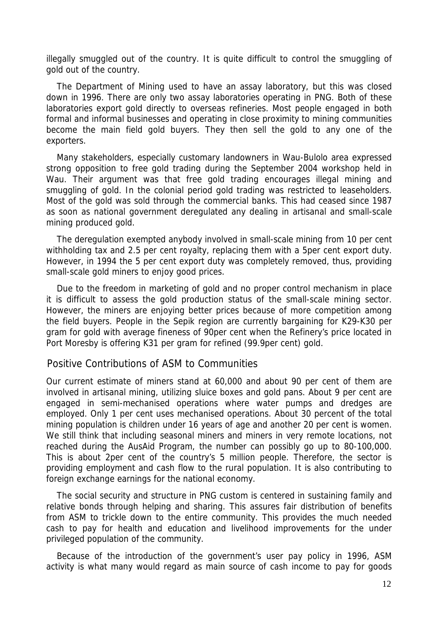illegally smuggled out of the country. It is quite difficult to control the smuggling of gold out of the country.

The Department of Mining used to have an assay laboratory, but this was closed down in 1996. There are only two assay laboratories operating in PNG. Both of these laboratories export gold directly to overseas refineries. Most people engaged in both formal and informal businesses and operating in close proximity to mining communities become the main field gold buyers. They then sell the gold to any one of the exporters.

Many stakeholders, especially customary landowners in Wau-Bulolo area expressed strong opposition to free gold trading during the September 2004 workshop held in Wau. Their argument was that free gold trading encourages illegal mining and smuggling of gold. In the colonial period gold trading was restricted to leaseholders. Most of the gold was sold through the commercial banks. This had ceased since 1987 as soon as national government deregulated any dealing in artisanal and small-scale mining produced gold.

The deregulation exempted anybody involved in small-scale mining from 10 per cent withholding tax and 2.5 per cent royalty, replacing them with a 5per cent export duty. However, in 1994 the 5 per cent export duty was completely removed, thus, providing small-scale gold miners to enjoy good prices.

Due to the freedom in marketing of gold and no proper control mechanism in place it is difficult to assess the gold production status of the small-scale mining sector. However, the miners are enjoying better prices because of more competition among the field buyers. People in the Sepik region are currently bargaining for K29-K30 per gram for gold with average fineness of 90per cent when the Refinery's price located in Port Moresby is offering K31 per gram for refined (99.9per cent) gold.

### Positive Contributions of ASM to Communities

Our current estimate of miners stand at 60,000 and about 90 per cent of them are involved in artisanal mining, utilizing sluice boxes and gold pans. About 9 per cent are engaged in semi-mechanised operations where water pumps and dredges are employed. Only 1 per cent uses mechanised operations. About 30 percent of the total mining population is children under 16 years of age and another 20 per cent is women. We still think that including seasonal miners and miners in very remote locations, not reached during the AusAid Program, the number can possibly go up to 80-100,000. This is about 2per cent of the country's 5 million people. Therefore, the sector is providing employment and cash flow to the rural population. It is also contributing to foreign exchange earnings for the national economy.

The social security and structure in PNG custom is centered in sustaining family and relative bonds through helping and sharing. This assures fair distribution of benefits from ASM to trickle down to the entire community. This provides the much needed cash to pay for health and education and livelihood improvements for the under privileged population of the community.

Because of the introduction of the government's user pay policy in 1996, ASM activity is what many would regard as main source of cash income to pay for goods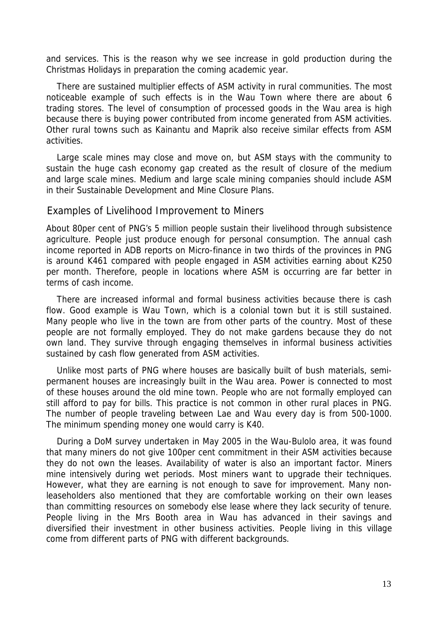and services. This is the reason why we see increase in gold production during the Christmas Holidays in preparation the coming academic year.

There are sustained multiplier effects of ASM activity in rural communities. The most noticeable example of such effects is in the Wau Town where there are about 6 trading stores. The level of consumption of processed goods in the Wau area is high because there is buying power contributed from income generated from ASM activities. Other rural towns such as Kainantu and Maprik also receive similar effects from ASM activities.

Large scale mines may close and move on, but ASM stays with the community to sustain the huge cash economy gap created as the result of closure of the medium and large scale mines. Medium and large scale mining companies should include ASM in their Sustainable Development and Mine Closure Plans.

#### Examples of Livelihood Improvement to Miners

About 80per cent of PNG's 5 million people sustain their livelihood through subsistence agriculture. People just produce enough for personal consumption. The annual cash income reported in ADB reports on Micro-finance in two thirds of the provinces in PNG is around K461 compared with people engaged in ASM activities earning about K250 per month. Therefore, people in locations where ASM is occurring are far better in terms of cash income.

There are increased informal and formal business activities because there is cash flow. Good example is Wau Town, which is a colonial town but it is still sustained. Many people who live in the town are from other parts of the country. Most of these people are not formally employed. They do not make gardens because they do not own land. They survive through engaging themselves in informal business activities sustained by cash flow generated from ASM activities.

Unlike most parts of PNG where houses are basically built of bush materials, semipermanent houses are increasingly built in the Wau area. Power is connected to most of these houses around the old mine town. People who are not formally employed can still afford to pay for bills. This practice is not common in other rural places in PNG. The number of people traveling between Lae and Wau every day is from 500-1000. The minimum spending money one would carry is K40.

During a DoM survey undertaken in May 2005 in the Wau-Bulolo area, it was found that many miners do not give 100per cent commitment in their ASM activities because they do not own the leases. Availability of water is also an important factor. Miners mine intensively during wet periods. Most miners want to upgrade their techniques. However, what they are earning is not enough to save for improvement. Many nonleaseholders also mentioned that they are comfortable working on their own leases than committing resources on somebody else lease where they lack security of tenure. People living in the Mrs Booth area in Wau has advanced in their savings and diversified their investment in other business activities. People living in this village come from different parts of PNG with different backgrounds.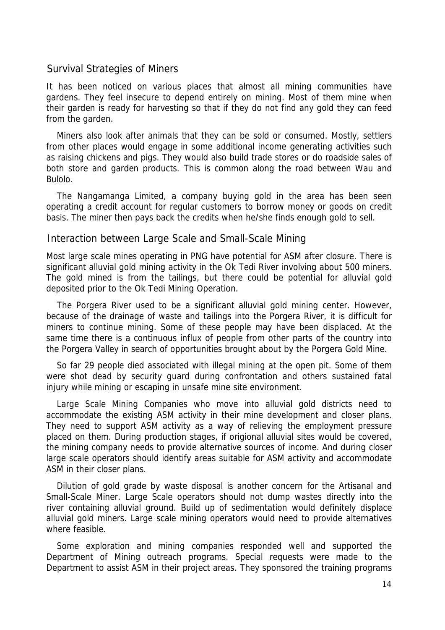### Survival Strategies of Miners

It has been noticed on various places that almost all mining communities have gardens. They feel insecure to depend entirely on mining. Most of them mine when their garden is ready for harvesting so that if they do not find any gold they can feed from the garden.

Miners also look after animals that they can be sold or consumed. Mostly, settlers from other places would engage in some additional income generating activities such as raising chickens and pigs. They would also build trade stores or do roadside sales of both store and garden products. This is common along the road between Wau and Bulolo.

The Nangamanga Limited, a company buying gold in the area has been seen operating a credit account for regular customers to borrow money or goods on credit basis. The miner then pays back the credits when he/she finds enough gold to sell.

#### Interaction between Large Scale and Small-Scale Mining

Most large scale mines operating in PNG have potential for ASM after closure. There is significant alluvial gold mining activity in the Ok Tedi River involving about 500 miners. The gold mined is from the tailings, but there could be potential for alluvial gold deposited prior to the Ok Tedi Mining Operation.

The Porgera River used to be a significant alluvial gold mining center. However, because of the drainage of waste and tailings into the Porgera River, it is difficult for miners to continue mining. Some of these people may have been displaced. At the same time there is a continuous influx of people from other parts of the country into the Porgera Valley in search of opportunities brought about by the Porgera Gold Mine.

So far 29 people died associated with illegal mining at the open pit. Some of them were shot dead by security guard during confrontation and others sustained fatal injury while mining or escaping in unsafe mine site environment.

Large Scale Mining Companies who move into alluvial gold districts need to accommodate the existing ASM activity in their mine development and closer plans. They need to support ASM activity as a way of relieving the employment pressure placed on them. During production stages, if origional alluvial sites would be covered, the mining company needs to provide alternative sources of income. And during closer large scale operators should identify areas suitable for ASM activity and accommodate ASM in their closer plans.

Dilution of gold grade by waste disposal is another concern for the Artisanal and Small-Scale Miner. Large Scale operators should not dump wastes directly into the river containing alluvial ground. Build up of sedimentation would definitely displace alluvial gold miners. Large scale mining operators would need to provide alternatives where feasible.

Some exploration and mining companies responded well and supported the Department of Mining outreach programs. Special requests were made to the Department to assist ASM in their project areas. They sponsored the training programs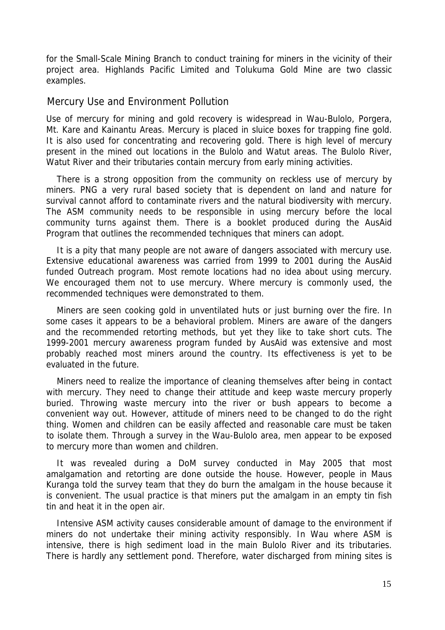for the Small-Scale Mining Branch to conduct training for miners in the vicinity of their project area. Highlands Pacific Limited and Tolukuma Gold Mine are two classic examples.

### Mercury Use and Environment Pollution

Use of mercury for mining and gold recovery is widespread in Wau-Bulolo, Porgera, Mt. Kare and Kainantu Areas. Mercury is placed in sluice boxes for trapping fine gold. It is also used for concentrating and recovering gold. There is high level of mercury present in the mined out locations in the Bulolo and Watut areas. The Bulolo River, Watut River and their tributaries contain mercury from early mining activities.

There is a strong opposition from the community on reckless use of mercury by miners. PNG a very rural based society that is dependent on land and nature for survival cannot afford to contaminate rivers and the natural biodiversity with mercury. The ASM community needs to be responsible in using mercury before the local community turns against them. There is a booklet produced during the AusAid Program that outlines the recommended techniques that miners can adopt.

It is a pity that many people are not aware of dangers associated with mercury use. Extensive educational awareness was carried from 1999 to 2001 during the AusAid funded Outreach program. Most remote locations had no idea about using mercury. We encouraged them not to use mercury. Where mercury is commonly used, the recommended techniques were demonstrated to them.

Miners are seen cooking gold in unventilated huts or just burning over the fire. In some cases it appears to be a behavioral problem. Miners are aware of the dangers and the recommended retorting methods, but yet they like to take short cuts. The 1999-2001 mercury awareness program funded by AusAid was extensive and most probably reached most miners around the country. Its effectiveness is yet to be evaluated in the future.

Miners need to realize the importance of cleaning themselves after being in contact with mercury. They need to change their attitude and keep waste mercury properly buried. Throwing waste mercury into the river or bush appears to become a convenient way out. However, attitude of miners need to be changed to do the right thing. Women and children can be easily affected and reasonable care must be taken to isolate them. Through a survey in the Wau-Bulolo area, men appear to be exposed to mercury more than women and children.

It was revealed during a DoM survey conducted in May 2005 that most amalgamation and retorting are done outside the house. However, people in Maus Kuranga told the survey team that they do burn the amalgam in the house because it is convenient. The usual practice is that miners put the amalgam in an empty tin fish tin and heat it in the open air.

Intensive ASM activity causes considerable amount of damage to the environment if miners do not undertake their mining activity responsibly. In Wau where ASM is intensive, there is high sediment load in the main Bulolo River and its tributaries. There is hardly any settlement pond. Therefore, water discharged from mining sites is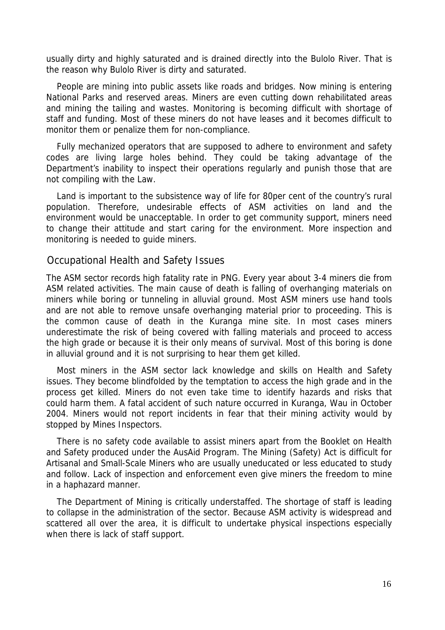usually dirty and highly saturated and is drained directly into the Bulolo River. That is the reason why Bulolo River is dirty and saturated.

People are mining into public assets like roads and bridges. Now mining is entering National Parks and reserved areas. Miners are even cutting down rehabilitated areas and mining the tailing and wastes. Monitoring is becoming difficult with shortage of staff and funding. Most of these miners do not have leases and it becomes difficult to monitor them or penalize them for non-compliance.

Fully mechanized operators that are supposed to adhere to environment and safety codes are living large holes behind. They could be taking advantage of the Department's inability to inspect their operations regularly and punish those that are not compiling with the Law.

Land is important to the subsistence way of life for 80per cent of the country's rural population. Therefore, undesirable effects of ASM activities on land and the environment would be unacceptable. In order to get community support, miners need to change their attitude and start caring for the environment. More inspection and monitoring is needed to guide miners.

### Occupational Health and Safety Issues

The ASM sector records high fatality rate in PNG. Every year about 3-4 miners die from ASM related activities. The main cause of death is falling of overhanging materials on miners while boring or tunneling in alluvial ground. Most ASM miners use hand tools and are not able to remove unsafe overhanging material prior to proceeding. This is the common cause of death in the Kuranga mine site. In most cases miners underestimate the risk of being covered with falling materials and proceed to access the high grade or because it is their only means of survival. Most of this boring is done in alluvial ground and it is not surprising to hear them get killed.

Most miners in the ASM sector lack knowledge and skills on Health and Safety issues. They become blindfolded by the temptation to access the high grade and in the process get killed. Miners do not even take time to identify hazards and risks that could harm them. A fatal accident of such nature occurred in Kuranga, Wau in October 2004. Miners would not report incidents in fear that their mining activity would by stopped by Mines Inspectors.

There is no safety code available to assist miners apart from the Booklet on Health and Safety produced under the AusAid Program. The Mining (Safety) Act is difficult for Artisanal and Small-Scale Miners who are usually uneducated or less educated to study and follow. Lack of inspection and enforcement even give miners the freedom to mine in a haphazard manner.

The Department of Mining is critically understaffed. The shortage of staff is leading to collapse in the administration of the sector. Because ASM activity is widespread and scattered all over the area, it is difficult to undertake physical inspections especially when there is lack of staff support.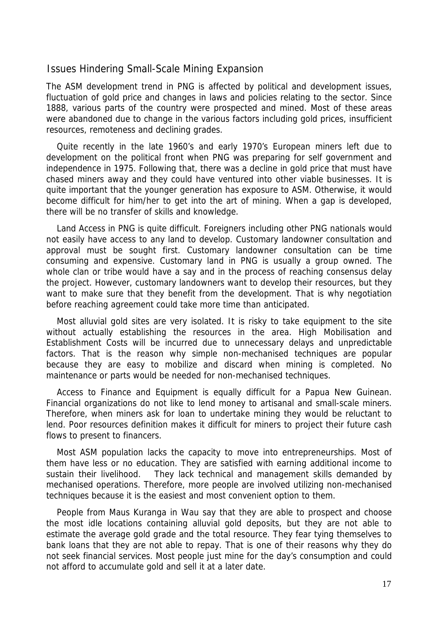### Issues Hindering Small-Scale Mining Expansion

The ASM development trend in PNG is affected by political and development issues, fluctuation of gold price and changes in laws and policies relating to the sector. Since 1888, various parts of the country were prospected and mined. Most of these areas were abandoned due to change in the various factors including gold prices, insufficient resources, remoteness and declining grades.

Quite recently in the late 1960's and early 1970's European miners left due to development on the political front when PNG was preparing for self government and independence in 1975. Following that, there was a decline in gold price that must have chased miners away and they could have ventured into other viable businesses. It is quite important that the younger generation has exposure to ASM. Otherwise, it would become difficult for him/her to get into the art of mining. When a gap is developed, there will be no transfer of skills and knowledge.

Land Access in PNG is quite difficult. Foreigners including other PNG nationals would not easily have access to any land to develop. Customary landowner consultation and approval must be sought first. Customary landowner consultation can be time consuming and expensive. Customary land in PNG is usually a group owned. The whole clan or tribe would have a say and in the process of reaching consensus delay the project. However, customary landowners want to develop their resources, but they want to make sure that they benefit from the development. That is why negotiation before reaching agreement could take more time than anticipated.

Most alluvial gold sites are very isolated. It is risky to take equipment to the site without actually establishing the resources in the area. High Mobilisation and Establishment Costs will be incurred due to unnecessary delays and unpredictable factors. That is the reason why simple non-mechanised techniques are popular because they are easy to mobilize and discard when mining is completed. No maintenance or parts would be needed for non-mechanised techniques.

Access to Finance and Equipment is equally difficult for a Papua New Guinean. Financial organizations do not like to lend money to artisanal and small-scale miners. Therefore, when miners ask for loan to undertake mining they would be reluctant to lend. Poor resources definition makes it difficult for miners to project their future cash flows to present to financers.

Most ASM population lacks the capacity to move into entrepreneurships. Most of them have less or no education. They are satisfied with earning additional income to sustain their livelihood. They lack technical and management skills demanded by mechanised operations. Therefore, more people are involved utilizing non-mechanised techniques because it is the easiest and most convenient option to them.

People from Maus Kuranga in Wau say that they are able to prospect and choose the most idle locations containing alluvial gold deposits, but they are not able to estimate the average gold grade and the total resource. They fear tying themselves to bank loans that they are not able to repay. That is one of their reasons why they do not seek financial services. Most people just mine for the day's consumption and could not afford to accumulate gold and sell it at a later date.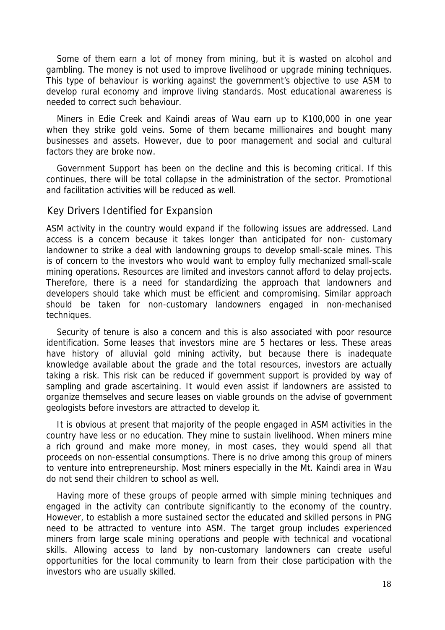Some of them earn a lot of money from mining, but it is wasted on alcohol and gambling. The money is not used to improve livelihood or upgrade mining techniques. This type of behaviour is working against the government's objective to use ASM to develop rural economy and improve living standards. Most educational awareness is needed to correct such behaviour.

Miners in Edie Creek and Kaindi areas of Wau earn up to K100,000 in one year when they strike gold veins. Some of them became millionaires and bought many businesses and assets. However, due to poor management and social and cultural factors they are broke now.

Government Support has been on the decline and this is becoming critical. If this continues, there will be total collapse in the administration of the sector. Promotional and facilitation activities will be reduced as well.

#### Key Drivers Identified for Expansion

ASM activity in the country would expand if the following issues are addressed. Land access is a concern because it takes longer than anticipated for non- customary landowner to strike a deal with landowning groups to develop small-scale mines. This is of concern to the investors who would want to employ fully mechanized small-scale mining operations. Resources are limited and investors cannot afford to delay projects. Therefore, there is a need for standardizing the approach that landowners and developers should take which must be efficient and compromising. Similar approach should be taken for non-customary landowners engaged in non-mechanised techniques.

Security of tenure is also a concern and this is also associated with poor resource identification. Some leases that investors mine are 5 hectares or less. These areas have history of alluvial gold mining activity, but because there is inadequate knowledge available about the grade and the total resources, investors are actually taking a risk. This risk can be reduced if government support is provided by way of sampling and grade ascertaining. It would even assist if landowners are assisted to organize themselves and secure leases on viable grounds on the advise of government geologists before investors are attracted to develop it.

It is obvious at present that majority of the people engaged in ASM activities in the country have less or no education. They mine to sustain livelihood. When miners mine a rich ground and make more money, in most cases, they would spend all that proceeds on non-essential consumptions. There is no drive among this group of miners to venture into entrepreneurship. Most miners especially in the Mt. Kaindi area in Wau do not send their children to school as well.

Having more of these groups of people armed with simple mining techniques and engaged in the activity can contribute significantly to the economy of the country. However, to establish a more sustained sector the educated and skilled persons in PNG need to be attracted to venture into ASM. The target group includes experienced miners from large scale mining operations and people with technical and vocational skills. Allowing access to land by non-customary landowners can create useful opportunities for the local community to learn from their close participation with the investors who are usually skilled.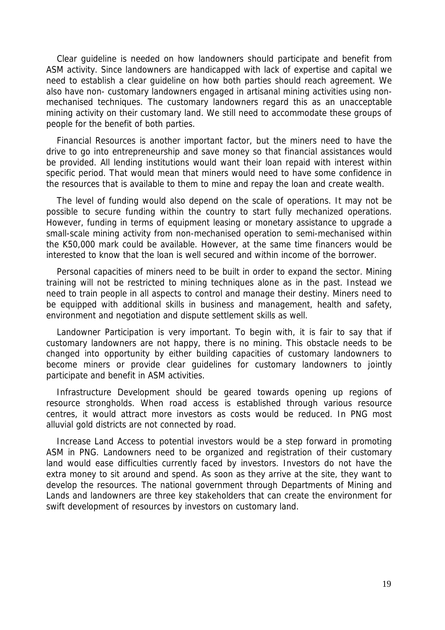Clear guideline is needed on how landowners should participate and benefit from ASM activity. Since landowners are handicapped with lack of expertise and capital we need to establish a clear guideline on how both parties should reach agreement. We also have non- customary landowners engaged in artisanal mining activities using nonmechanised techniques. The customary landowners regard this as an unacceptable mining activity on their customary land. We still need to accommodate these groups of people for the benefit of both parties.

Financial Resources is another important factor, but the miners need to have the drive to go into entrepreneurship and save money so that financial assistances would be provided. All lending institutions would want their loan repaid with interest within specific period. That would mean that miners would need to have some confidence in the resources that is available to them to mine and repay the loan and create wealth.

The level of funding would also depend on the scale of operations. It may not be possible to secure funding within the country to start fully mechanized operations. However, funding in terms of equipment leasing or monetary assistance to upgrade a small-scale mining activity from non-mechanised operation to semi-mechanised within the K50,000 mark could be available. However, at the same time financers would be interested to know that the loan is well secured and within income of the borrower.

Personal capacities of miners need to be built in order to expand the sector. Mining training will not be restricted to mining techniques alone as in the past. Instead we need to train people in all aspects to control and manage their destiny. Miners need to be equipped with additional skills in business and management, health and safety, environment and negotiation and dispute settlement skills as well.

Landowner Participation is very important. To begin with, it is fair to say that if customary landowners are not happy, there is no mining. This obstacle needs to be changed into opportunity by either building capacities of customary landowners to become miners or provide clear guidelines for customary landowners to jointly participate and benefit in ASM activities.

Infrastructure Development should be geared towards opening up regions of resource strongholds. When road access is established through various resource centres, it would attract more investors as costs would be reduced. In PNG most alluvial gold districts are not connected by road.

Increase Land Access to potential investors would be a step forward in promoting ASM in PNG. Landowners need to be organized and registration of their customary land would ease difficulties currently faced by investors. Investors do not have the extra money to sit around and spend. As soon as they arrive at the site, they want to develop the resources. The national government through Departments of Mining and Lands and landowners are three key stakeholders that can create the environment for swift development of resources by investors on customary land.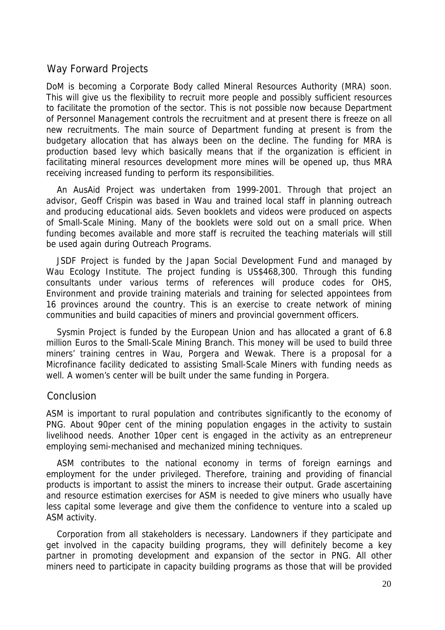## Way Forward Projects

DoM is becoming a Corporate Body called Mineral Resources Authority (MRA) soon. This will give us the flexibility to recruit more people and possibly sufficient resources to facilitate the promotion of the sector. This is not possible now because Department of Personnel Management controls the recruitment and at present there is freeze on all new recruitments. The main source of Department funding at present is from the budgetary allocation that has always been on the decline. The funding for MRA is production based levy which basically means that if the organization is efficient in facilitating mineral resources development more mines will be opened up, thus MRA receiving increased funding to perform its responsibilities.

An AusAid Project was undertaken from 1999-2001. Through that project an advisor, Geoff Crispin was based in Wau and trained local staff in planning outreach and producing educational aids. Seven booklets and videos were produced on aspects of Small-Scale Mining. Many of the booklets were sold out on a small price. When funding becomes available and more staff is recruited the teaching materials will still be used again during Outreach Programs.

JSDF Project is funded by the Japan Social Development Fund and managed by Wau Ecology Institute. The project funding is US\$468,300. Through this funding consultants under various terms of references will produce codes for OHS, Environment and provide training materials and training for selected appointees from 16 provinces around the country. This is an exercise to create network of mining communities and build capacities of miners and provincial government officers.

Sysmin Project is funded by the European Union and has allocated a grant of 6.8 million Euros to the Small-Scale Mining Branch. This money will be used to build three miners' training centres in Wau, Porgera and Wewak. There is a proposal for a Microfinance facility dedicated to assisting Small-Scale Miners with funding needs as well. A women's center will be built under the same funding in Porgera.

## Conclusion

ASM is important to rural population and contributes significantly to the economy of PNG. About 90per cent of the mining population engages in the activity to sustain livelihood needs. Another 10per cent is engaged in the activity as an entrepreneur employing semi-mechanised and mechanized mining techniques.

ASM contributes to the national economy in terms of foreign earnings and employment for the under privileged. Therefore, training and providing of financial products is important to assist the miners to increase their output. Grade ascertaining and resource estimation exercises for ASM is needed to give miners who usually have less capital some leverage and give them the confidence to venture into a scaled up ASM activity.

Corporation from all stakeholders is necessary. Landowners if they participate and get involved in the capacity building programs, they will definitely become a key partner in promoting development and expansion of the sector in PNG. All other miners need to participate in capacity building programs as those that will be provided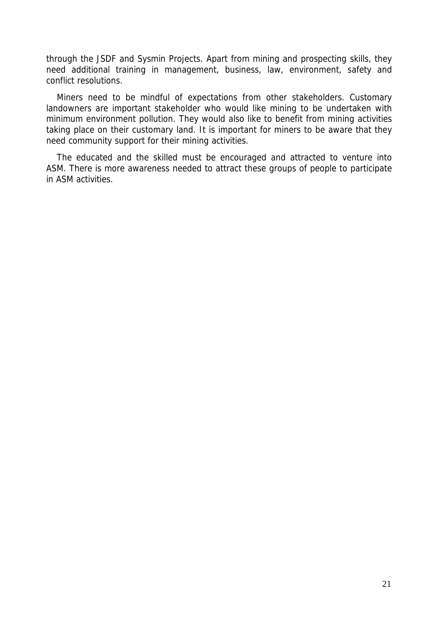through the JSDF and Sysmin Projects. Apart from mining and prospecting skills, they need additional training in management, business, law, environment, safety and conflict resolutions.

Miners need to be mindful of expectations from other stakeholders. Customary landowners are important stakeholder who would like mining to be undertaken with minimum environment pollution. They would also like to benefit from mining activities taking place on their customary land. It is important for miners to be aware that they need community support for their mining activities.

The educated and the skilled must be encouraged and attracted to venture into ASM. There is more awareness needed to attract these groups of people to participate in ASM activities.